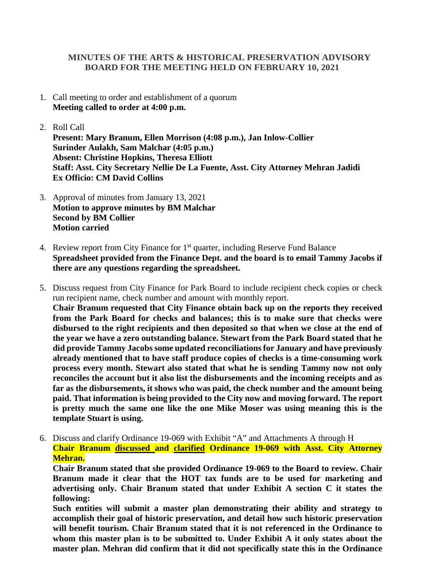## **MINUTES OF THE ARTS & HISTORICAL PRESERVATION ADVISORY BOARD FOR THE MEETING HELD ON FEBRUARY 10, 2021**

- 1. Call meeting to order and establishment of a quorum **Meeting called to order at 4:00 p.m.**
- 2. Roll Call

**Present: Mary Branum, Ellen Morrison (4:08 p.m.), Jan Inlow-Collier Surinder Aulakh, Sam Malchar (4:05 p.m.) Absent: Christine Hopkins, Theresa Elliott Staff: Asst. City Secretary Nellie De La Fuente, Asst. City Attorney Mehran Jadidi Ex Officio: CM David Collins**

- 3. Approval of minutes from January 13, 2021 **Motion to approve minutes by BM Malchar Second by BM Collier Motion carried**
- 4. Review report from City Finance for  $1<sup>st</sup>$  quarter, including Reserve Fund Balance **Spreadsheet provided from the Finance Dept. and the board is to email Tammy Jacobs if there are any questions regarding the spreadsheet.**
- 5. Discuss request from City Finance for Park Board to include recipient check copies or check run recipient name, check number and amount with monthly report. **Chair Branum requested that City Finance obtain back up on the reports they received from the Park Board for checks and balances; this is to make sure that checks were disbursed to the right recipients and then deposited so that when we close at the end of the year we have a zero outstanding balance. Stewart from the Park Board stated that he did provide Tammy Jacobs some updated reconciliations for January and have previously already mentioned that to have staff produce copies of checks is a time-consuming work process every month. Stewart also stated that what he is sending Tammy now not only reconciles the account but it also list the disbursements and the incoming receipts and as far as the disbursements, it shows who was paid, the check number and the amount being paid. That information is being provided to the City now and moving forward. The report is pretty much the same one like the one Mike Moser was using meaning this is the template Stuart is using.**
- 6. Discuss and clarify Ordinance 19-069 with Exhibit "A" and Attachments A through H **Chair Branum discussed and clarified Ordinance 19-069 with Asst. City Attorney Mehran.**

**Chair Branum stated that she provided Ordinance 19-069 to the Board to review. Chair Branum made it clear that the HOT tax funds are to be used for marketing and advertising only. Chair Branum stated that under Exhibit A section C it states the following:** 

**Such entities will submit a master plan demonstrating their ability and strategy to accomplish their goal of historic preservation, and detail how such historic preservation will benefit tourism. Chair Branum stated that it is not referenced in the Ordinance to whom this master plan is to be submitted to. Under Exhibit A it only states about the master plan. Mehran did confirm that it did not specifically state this in the Ordinance**